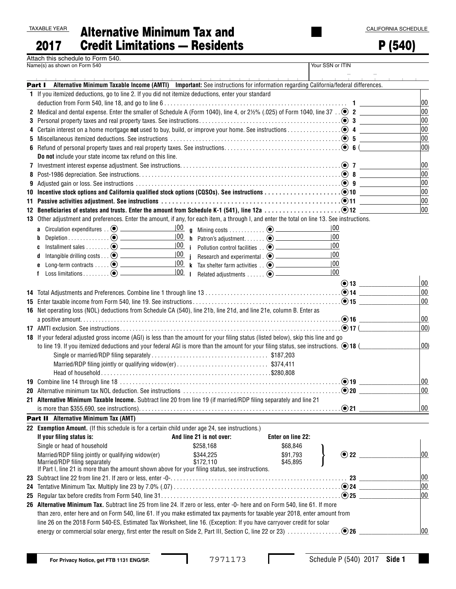|--|

## 2017  $A$ lternative Minimum Tax and Credit Limitations — Residents

P (540)

| Attach this schedule to Form 540. |  |
|-----------------------------------|--|
| Name(s) as shown on Form 540      |  |

| Name(s) as shown on Form 540                                                                                                                                |                                                                          |                   | Your SSN or ITIN |              |
|-------------------------------------------------------------------------------------------------------------------------------------------------------------|--------------------------------------------------------------------------|-------------------|------------------|--------------|
|                                                                                                                                                             |                                                                          |                   |                  |              |
| Alternative Minimum Taxable Income (AMTI) Important: See instructions for information regarding California/federal differences.<br>Part I                   |                                                                          |                   |                  |              |
| 1 If you itemized deductions, go to line 2. If you did not itemize deductions, enter your standard                                                          |                                                                          |                   |                  |              |
|                                                                                                                                                             |                                                                          |                   |                  | 00           |
| 2 Medical and dental expense. Enter the smaller of Schedule A (Form 1040), line 4, or $2\frac{1}{2}\%$ (.025) of Form 1040, line 37 . $\odot$ 2             |                                                                          |                   |                  | 00           |
|                                                                                                                                                             |                                                                          |                   |                  | 00           |
|                                                                                                                                                             |                                                                          |                   |                  | 00           |
|                                                                                                                                                             |                                                                          |                   |                  | 00           |
|                                                                                                                                                             |                                                                          |                   |                  | $ 00\rangle$ |
| Do not include your state income tax refund on this line.                                                                                                   |                                                                          |                   |                  |              |
| 7 Investment interest expense adjustment. See instructions. $\ldots$ . $\ldots$ . $\ldots$ . $\ldots$ . $\ldots$ . $\ldots$ . $\ldots$ . $\odot$ 7 $\ldots$ |                                                                          |                   |                  | 00           |
|                                                                                                                                                             |                                                                          |                   |                  | 00           |
| 9 Adjusted gain or loss. See instructions $\dots\dots\dots\dots\dots\dots\dots\dots\dots\dots\dots\dots\dots\dots\dots\dots\dots\dots$                      |                                                                          |                   |                  | 00           |
|                                                                                                                                                             |                                                                          |                   |                  | 00           |
|                                                                                                                                                             |                                                                          |                   |                  | 00           |
| 12 Beneficiaries of estates and trusts. Enter the amount from Schedule K-1 (541), line 12a $\ldots \ldots \ldots \ldots \ldots \ldots \odot 12$             |                                                                          |                   |                  | 00           |
| 13 Other adjustment and preferences. Enter the amount, if any, for each item, a through I, and enter the total on line 13. See instructions.                |                                                                          |                   |                  |              |
|                                                                                                                                                             |                                                                          |                   | 100              |              |
| b                                                                                                                                                           | $\frac{ 00\rangle}{\ln}$ h Patron's adjustment $\odot$ ____________      |                   | 00               |              |
| Installment sales $\odot$ $\qquad \qquad$<br>c                                                                                                              | $\frac{ 00 }{ 00 }$ i Pollution control facilities $\odot$ _____________ |                   | 100              |              |
| Intangible drilling costs $\ldots$ $\odot$ $\qquad \qquad$<br>d                                                                                             | $\frac{ 00 }{ 00 }$ i Research and experimental . $\odot$ _____________  |                   | 00               |              |
| Long-term contracts $\dots$ . $\odot$ ____________<br>e                                                                                                     |                                                                          |                   | 00               |              |
| f                                                                                                                                                           | 00 <br>$\mathbf{I}$                                                      |                   | $ 00\rangle$     |              |
|                                                                                                                                                             |                                                                          |                   | $\odot$ 13       | 00           |
|                                                                                                                                                             |                                                                          |                   |                  | 00           |
|                                                                                                                                                             |                                                                          |                   |                  | 00           |
| 16 Net operating loss (NOL) deductions from Schedule CA (540), line 21b, line 21d, and line 21e, column B. Enter as                                         |                                                                          |                   |                  |              |
|                                                                                                                                                             |                                                                          |                   | $\odot$ 16       | 00           |
|                                                                                                                                                             |                                                                          |                   | . ⊙17 (          | $ 00\rangle$ |
| 18 If your federal adjusted gross income (AGI) is less than the amount for your filing status (listed below), skip this line and go                         |                                                                          |                   |                  |              |
| to line 19. If you itemized deductions and your federal AGI is more than the amount for your filing status, see instructions. $\bigcirc$ 18 (               |                                                                          |                   |                  | 00)          |
|                                                                                                                                                             |                                                                          |                   |                  |              |
| Married/RDP filing jointly or qualifying widow(er)\$374,411                                                                                                 |                                                                          |                   |                  |              |
|                                                                                                                                                             |                                                                          |                   |                  |              |
|                                                                                                                                                             |                                                                          |                   | $\odot$ 19       | 00           |
|                                                                                                                                                             |                                                                          |                   | $\Theta$ 20      | 00           |
| 21 Alternative Minimum Taxable Income. Subtract line 20 from line 19 (if married/RDP filing separately and line 21                                          |                                                                          |                   |                  |              |
|                                                                                                                                                             |                                                                          |                   |                  | $ 00\rangle$ |
| Part II Alternative Minimum Tax (AMT)                                                                                                                       |                                                                          |                   |                  |              |
| 22 Exemption Amount. (If this schedule is for a certain child under age 24, see instructions.)                                                              |                                                                          |                   |                  |              |
| If your filing status is:                                                                                                                                   | And line 21 is not over:                                                 | Enter on line 22: |                  |              |
| Single or head of household                                                                                                                                 | \$258,168                                                                | \$68,846          |                  |              |
| Married/RDP filing jointly or qualifying widow(er)                                                                                                          | \$344,225                                                                | \$91,793          | $\odot$ 22       | $ 00\rangle$ |
| Married/RDP filing separately                                                                                                                               | \$172,110                                                                | \$45,895          |                  |              |
| If Part I, line 21 is more than the amount shown above for your filing status, see instructions.                                                            |                                                                          |                   |                  |              |
|                                                                                                                                                             |                                                                          |                   |                  | 00           |
|                                                                                                                                                             |                                                                          |                   |                  | 00           |
|                                                                                                                                                             |                                                                          |                   |                  | 00           |
| 26 Alternative Minimum Tax. Subtract line 25 from line 24. If zero or less, enter -0- here and on Form 540, line 61. If more                                |                                                                          |                   |                  |              |
| than zero, enter here and on Form 540, line 61. If you make estimated tax payments for taxable year 2018, enter amount from                                 |                                                                          |                   |                  |              |
| line 26 on the 2018 Form 540-ES, Estimated Tax Worksheet, line 16. (Exception: If you have carryover credit for solar                                       |                                                                          |                   |                  |              |
|                                                                                                                                                             |                                                                          |                   |                  | 00           |

L